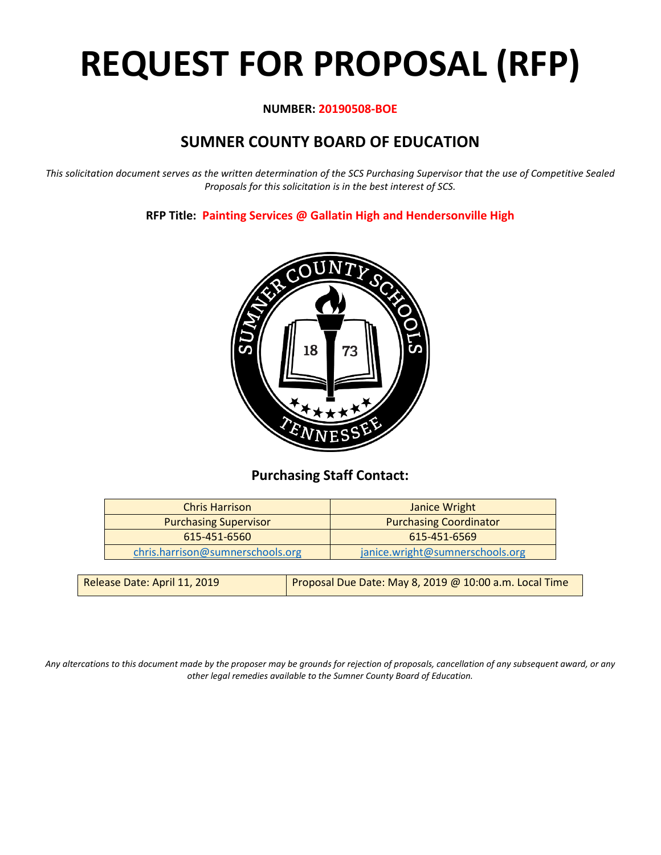# **REQUEST FOR PROPOSAL (RFP)**

# **NUMBER: 20190508-BOE**

# **SUMNER COUNTY BOARD OF EDUCATION**

*This solicitation document serves as the written determination of the SCS Purchasing Supervisor that the use of Competitive Sealed Proposals for this solicitation is in the best interest of SCS.*

**RFP Title: Painting Services @ Gallatin High and Hendersonville High**



# **Purchasing Staff Contact:**

| <b>Chris Harrison</b>            | Janice Wright                   |  |
|----------------------------------|---------------------------------|--|
| <b>Purchasing Supervisor</b>     | <b>Purchasing Coordinator</b>   |  |
| 615-451-6560                     | 615-451-6569                    |  |
| chris.harrison@sumnerschools.org | janice.wright@sumnerschools.org |  |
|                                  |                                 |  |

| Release Date: April 11, 2019 | Proposal Due Date: May 8, 2019 @ 10:00 a.m. Local Time |
|------------------------------|--------------------------------------------------------|
|------------------------------|--------------------------------------------------------|

*Any altercations to this document made by the proposer may be grounds for rejection of proposals, cancellation of any subsequent award, or any other legal remedies available to the Sumner County Board of Education.*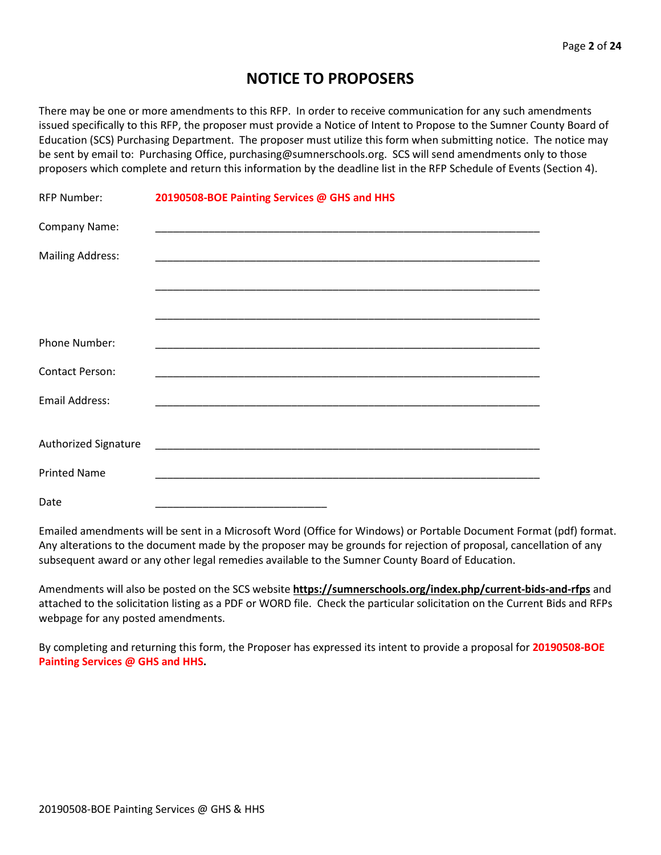# **NOTICE TO PROPOSERS**

There may be one or more amendments to this RFP. In order to receive communication for any such amendments issued specifically to this RFP, the proposer must provide a Notice of Intent to Propose to the Sumner County Board of Education (SCS) Purchasing Department. The proposer must utilize this form when submitting notice. The notice may be sent by email to: Purchasing Office, purchasing@sumnerschools.org. SCS will send amendments only to those proposers which complete and return this information by the deadline list in the RFP Schedule of Events (Section 4).

| <b>RFP Number:</b>      | 20190508-BOE Painting Services @ GHS and HHS |
|-------------------------|----------------------------------------------|
| Company Name:           |                                              |
| <b>Mailing Address:</b> |                                              |
|                         |                                              |
|                         |                                              |
| Phone Number:           |                                              |
| <b>Contact Person:</b>  |                                              |
| Email Address:          |                                              |
|                         |                                              |
| Authorized Signature    |                                              |
| <b>Printed Name</b>     |                                              |
| Date                    |                                              |

Emailed amendments will be sent in a Microsoft Word (Office for Windows) or Portable Document Format (pdf) format. Any alterations to the document made by the proposer may be grounds for rejection of proposal, cancellation of any subsequent award or any other legal remedies available to the Sumner County Board of Education.

Amendments will also be posted on the SCS website **https://sumnerschools.org/index.php/current-bids-and-rfps** and attached to the solicitation listing as a PDF or WORD file. Check the particular solicitation on the Current Bids and RFPs webpage for any posted amendments.

By completing and returning this form, the Proposer has expressed its intent to provide a proposal for **20190508-BOE Painting Services @ GHS and HHS.**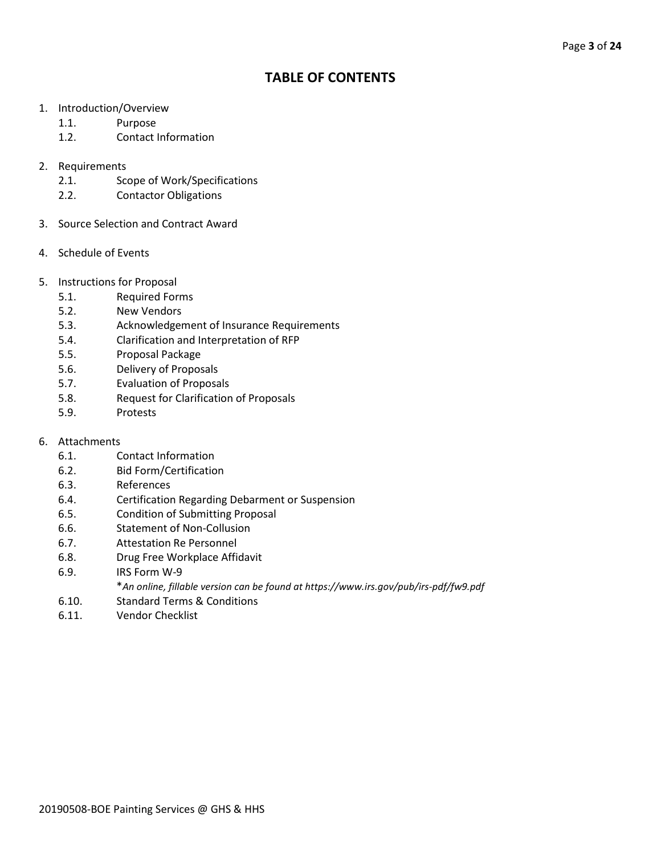# **TABLE OF CONTENTS**

- 1. Introduction/Overview
	- 1.1. Purpose
	- 1.2. Contact Information
- 2. Requirements
	- 2.1. Scope of Work/Specifications
	- 2.2. Contactor Obligations
- 3. Source Selection and Contract Award
- 4. Schedule of Events
- 5. Instructions for Proposal
	- 5.1. Required Forms
	- 5.2. New Vendors
	- 5.3. Acknowledgement of Insurance Requirements
	- 5.4. Clarification and Interpretation of RFP
	- 5.5. Proposal Package
	- 5.6. Delivery of Proposals
	- 5.7. Evaluation of Proposals
	- 5.8. Request for Clarification of Proposals
	- 5.9. Protests
- 6. Attachments
	- 6.1. Contact Information
	- 6.2. Bid Form/Certification
	- 6.3. References
	- 6.4. Certification Regarding Debarment or Suspension
	- 6.5. Condition of Submitting Proposal
	- 6.6. Statement of Non-Collusion
	- 6.7. Attestation Re Personnel
	- 6.8. Drug Free Workplace Affidavit
	- 6.9. IRS Form W-9
		- \**An online, fillable version can be found at https://www.irs.gov/pub/irs-pdf/fw9.pdf*
	- 6.10. Standard Terms & Conditions
	- 6.11. Vendor Checklist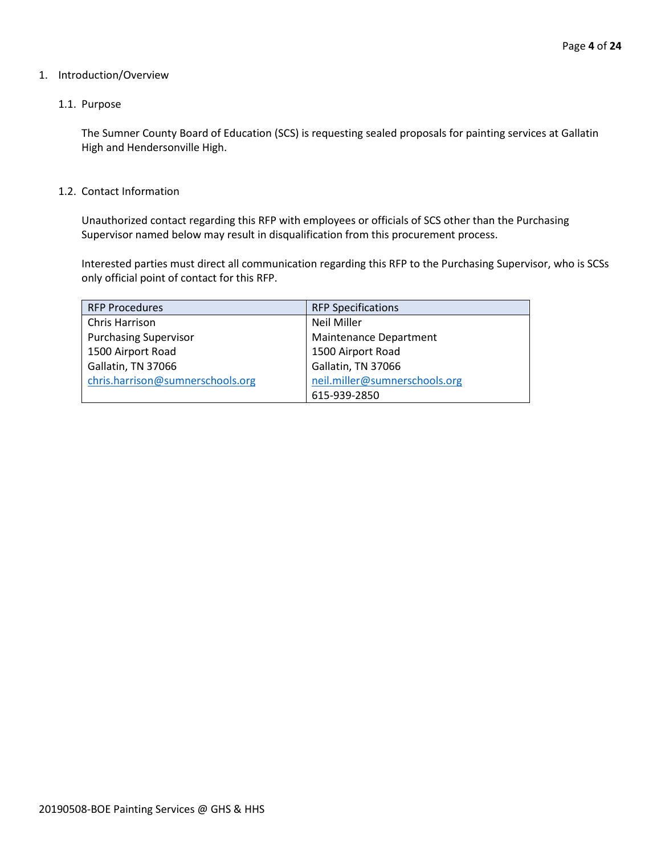#### 1. Introduction/Overview

#### 1.1. Purpose

The Sumner County Board of Education (SCS) is requesting sealed proposals for painting services at Gallatin High and Hendersonville High.

#### 1.2. Contact Information

Unauthorized contact regarding this RFP with employees or officials of SCS other than the Purchasing Supervisor named below may result in disqualification from this procurement process.

Interested parties must direct all communication regarding this RFP to the Purchasing Supervisor, who is SCSs only official point of contact for this RFP.

| <b>RFP Procedures</b>            | <b>RFP Specifications</b>     |
|----------------------------------|-------------------------------|
| Chris Harrison                   | <b>Neil Miller</b>            |
| <b>Purchasing Supervisor</b>     | Maintenance Department        |
| 1500 Airport Road                | 1500 Airport Road             |
| Gallatin, TN 37066               | Gallatin, TN 37066            |
| chris.harrison@sumnerschools.org | neil.miller@sumnerschools.org |
|                                  | 615-939-2850                  |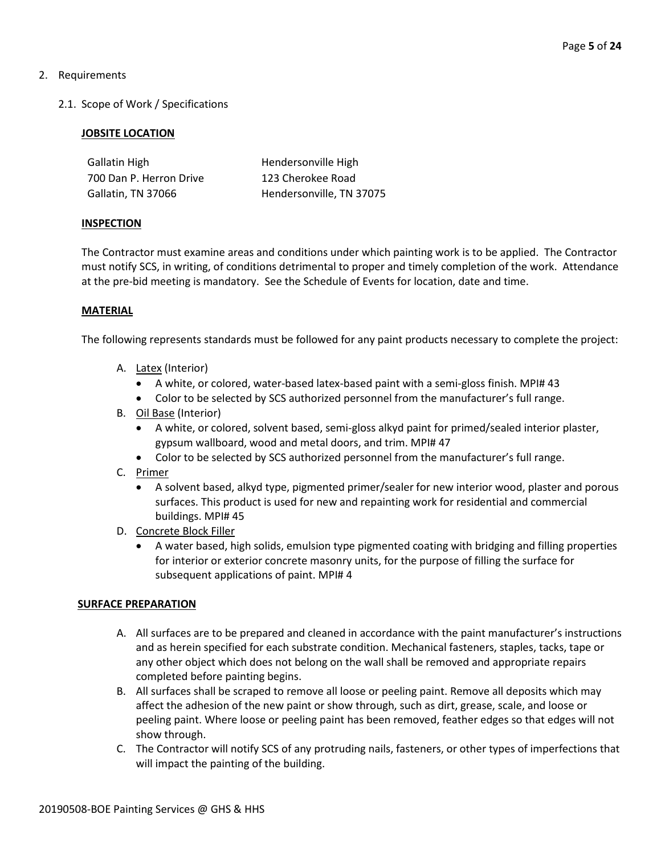# 2. Requirements

2.1. Scope of Work / Specifications

## **JOBSITE LOCATION**

| Gallatin High           | Hendersonville High      |
|-------------------------|--------------------------|
| 700 Dan P. Herron Drive | 123 Cherokee Road        |
| Gallatin, TN 37066      | Hendersonville, TN 37075 |

#### **INSPECTION**

The Contractor must examine areas and conditions under which painting work is to be applied. The Contractor must notify SCS, in writing, of conditions detrimental to proper and timely completion of the work. Attendance at the pre-bid meeting is mandatory. See the Schedule of Events for location, date and time.

## **MATERIAL**

The following represents standards must be followed for any paint products necessary to complete the project:

- A. Latex (Interior)
	- A white, or colored, water-based latex-based paint with a semi-gloss finish. MPI# 43
	- Color to be selected by SCS authorized personnel from the manufacturer's full range.
- B. Oil Base (Interior)
	- A white, or colored, solvent based, semi-gloss alkyd paint for primed/sealed interior plaster, gypsum wallboard, wood and metal doors, and trim. MPI# 47
	- Color to be selected by SCS authorized personnel from the manufacturer's full range.
- C. Primer
	- A solvent based, alkyd type, pigmented primer/sealer for new interior wood, plaster and porous surfaces. This product is used for new and repainting work for residential and commercial buildings. MPI# 45
- D. Concrete Block Filler
	- A water based, high solids, emulsion type pigmented coating with bridging and filling properties for interior or exterior concrete masonry units, for the purpose of filling the surface for subsequent applications of paint. MPI# 4

#### **SURFACE PREPARATION**

- A. All surfaces are to be prepared and cleaned in accordance with the paint manufacturer's instructions and as herein specified for each substrate condition. Mechanical fasteners, staples, tacks, tape or any other object which does not belong on the wall shall be removed and appropriate repairs completed before painting begins.
- B. All surfaces shall be scraped to remove all loose or peeling paint. Remove all deposits which may affect the adhesion of the new paint or show through, such as dirt, grease, scale, and loose or peeling paint. Where loose or peeling paint has been removed, feather edges so that edges will not show through.
- C. The Contractor will notify SCS of any protruding nails, fasteners, or other types of imperfections that will impact the painting of the building.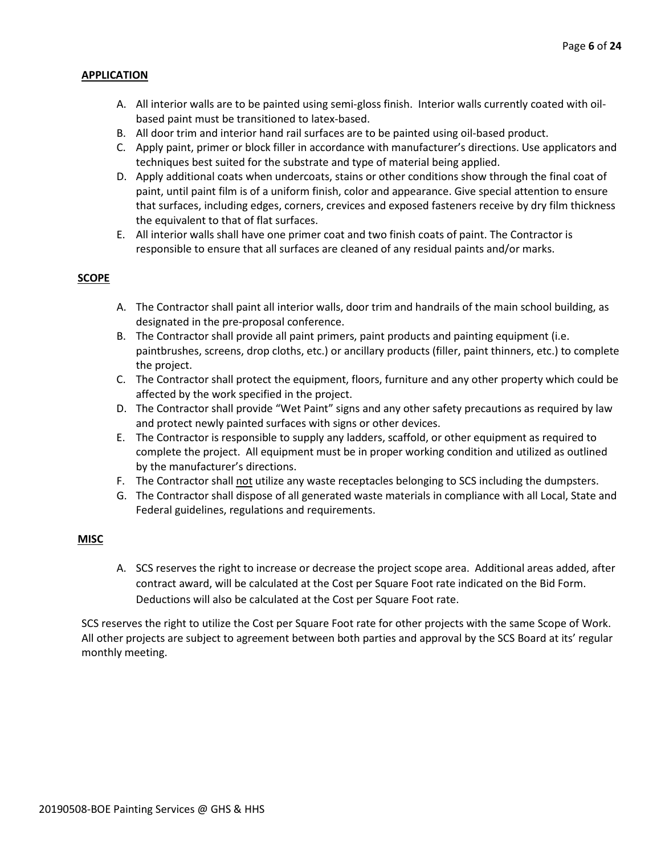## **APPLICATION**

- A. All interior walls are to be painted using semi-gloss finish. Interior walls currently coated with oilbased paint must be transitioned to latex-based.
- B. All door trim and interior hand rail surfaces are to be painted using oil-based product.
- C. Apply paint, primer or block filler in accordance with manufacturer's directions. Use applicators and techniques best suited for the substrate and type of material being applied.
- D. Apply additional coats when undercoats, stains or other conditions show through the final coat of paint, until paint film is of a uniform finish, color and appearance. Give special attention to ensure that surfaces, including edges, corners, crevices and exposed fasteners receive by dry film thickness the equivalent to that of flat surfaces.
- E. All interior walls shall have one primer coat and two finish coats of paint. The Contractor is responsible to ensure that all surfaces are cleaned of any residual paints and/or marks.

## **SCOPE**

- A. The Contractor shall paint all interior walls, door trim and handrails of the main school building, as designated in the pre-proposal conference.
- B. The Contractor shall provide all paint primers, paint products and painting equipment (i.e. paintbrushes, screens, drop cloths, etc.) or ancillary products (filler, paint thinners, etc.) to complete the project.
- C. The Contractor shall protect the equipment, floors, furniture and any other property which could be affected by the work specified in the project.
- D. The Contractor shall provide "Wet Paint" signs and any other safety precautions as required by law and protect newly painted surfaces with signs or other devices.
- E. The Contractor is responsible to supply any ladders, scaffold, or other equipment as required to complete the project. All equipment must be in proper working condition and utilized as outlined by the manufacturer's directions.
- F. The Contractor shall not utilize any waste receptacles belonging to SCS including the dumpsters.
- G. The Contractor shall dispose of all generated waste materials in compliance with all Local, State and Federal guidelines, regulations and requirements.

# **MISC**

A. SCS reserves the right to increase or decrease the project scope area. Additional areas added, after contract award, will be calculated at the Cost per Square Foot rate indicated on the Bid Form. Deductions will also be calculated at the Cost per Square Foot rate.

SCS reserves the right to utilize the Cost per Square Foot rate for other projects with the same Scope of Work. All other projects are subject to agreement between both parties and approval by the SCS Board at its' regular monthly meeting.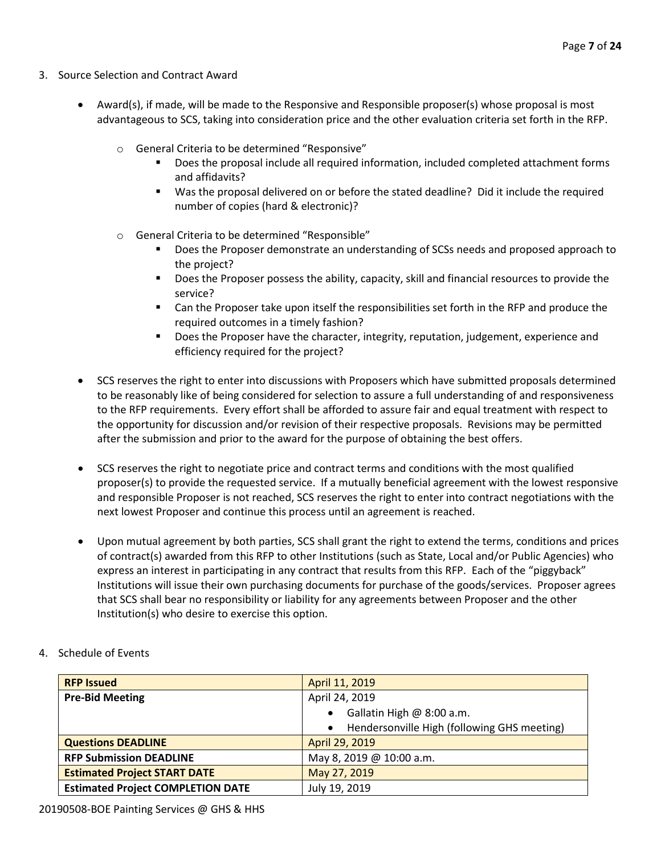- 3. Source Selection and Contract Award
	- Award(s), if made, will be made to the Responsive and Responsible proposer(s) whose proposal is most advantageous to SCS, taking into consideration price and the other evaluation criteria set forth in the RFP.
		- o General Criteria to be determined "Responsive"
			- Does the proposal include all required information, included completed attachment forms and affidavits?
			- Was the proposal delivered on or before the stated deadline? Did it include the required number of copies (hard & electronic)?
		- o General Criteria to be determined "Responsible"
			- Does the Proposer demonstrate an understanding of SCSs needs and proposed approach to the project?
			- **Does the Proposer possess the ability, capacity, skill and financial resources to provide the** service?
			- Can the Proposer take upon itself the responsibilities set forth in the RFP and produce the required outcomes in a timely fashion?
			- **Does the Proposer have the character, integrity, reputation, judgement, experience and** efficiency required for the project?
	- SCS reserves the right to enter into discussions with Proposers which have submitted proposals determined to be reasonably like of being considered for selection to assure a full understanding of and responsiveness to the RFP requirements. Every effort shall be afforded to assure fair and equal treatment with respect to the opportunity for discussion and/or revision of their respective proposals. Revisions may be permitted after the submission and prior to the award for the purpose of obtaining the best offers.
	- SCS reserves the right to negotiate price and contract terms and conditions with the most qualified proposer(s) to provide the requested service. If a mutually beneficial agreement with the lowest responsive and responsible Proposer is not reached, SCS reserves the right to enter into contract negotiations with the next lowest Proposer and continue this process until an agreement is reached.
	- Upon mutual agreement by both parties, SCS shall grant the right to extend the terms, conditions and prices of contract(s) awarded from this RFP to other Institutions (such as State, Local and/or Public Agencies) who express an interest in participating in any contract that results from this RFP. Each of the "piggyback" Institutions will issue their own purchasing documents for purchase of the goods/services. Proposer agrees that SCS shall bear no responsibility or liability for any agreements between Proposer and the other Institution(s) who desire to exercise this option.

| <b>RFP Issued</b>                        | April 11, 2019                                           |  |
|------------------------------------------|----------------------------------------------------------|--|
| <b>Pre-Bid Meeting</b>                   | April 24, 2019                                           |  |
|                                          | Gallatin High @ 8:00 a.m.<br>$\bullet$                   |  |
|                                          | Hendersonville High (following GHS meeting)<br>$\bullet$ |  |
| <b>Questions DEADLINE</b>                | April 29, 2019                                           |  |
| <b>RFP Submission DEADLINE</b>           | May 8, 2019 @ 10:00 a.m.                                 |  |
| <b>Estimated Project START DATE</b>      | May 27, 2019                                             |  |
| <b>Estimated Project COMPLETION DATE</b> | July 19, 2019                                            |  |

4. Schedule of Events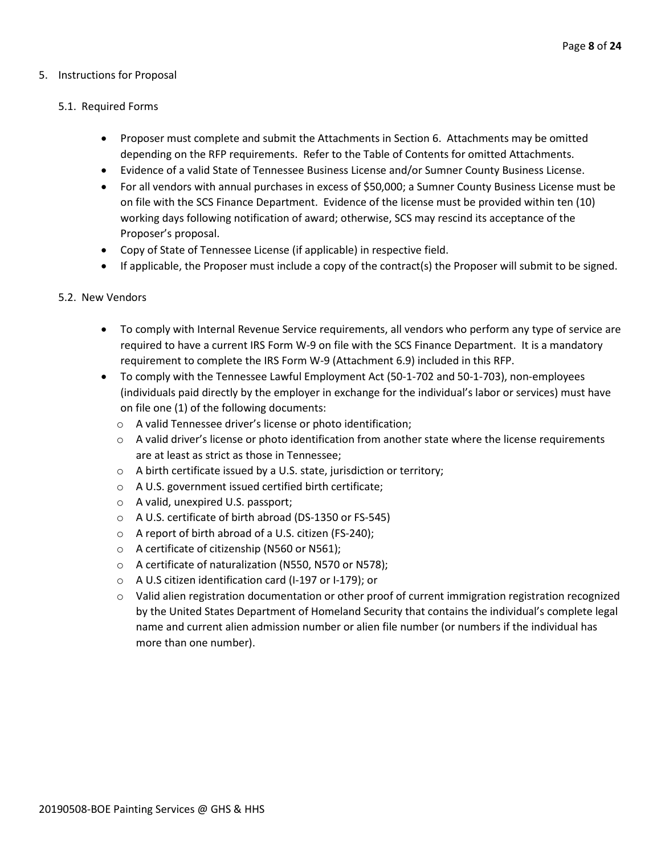#### 5. Instructions for Proposal

#### 5.1. Required Forms

- Proposer must complete and submit the Attachments in Section 6. Attachments may be omitted depending on the RFP requirements. Refer to the Table of Contents for omitted Attachments.
- Evidence of a valid State of Tennessee Business License and/or Sumner County Business License.
- For all vendors with annual purchases in excess of \$50,000; a Sumner County Business License must be on file with the SCS Finance Department. Evidence of the license must be provided within ten (10) working days following notification of award; otherwise, SCS may rescind its acceptance of the Proposer's proposal.
- Copy of State of Tennessee License (if applicable) in respective field.
- If applicable, the Proposer must include a copy of the contract(s) the Proposer will submit to be signed.

#### 5.2. New Vendors

- To comply with Internal Revenue Service requirements, all vendors who perform any type of service are required to have a current IRS Form W-9 on file with the SCS Finance Department. It is a mandatory requirement to complete the IRS Form W-9 (Attachment 6.9) included in this RFP.
- To comply with the Tennessee Lawful Employment Act (50-1-702 and 50-1-703), non-employees (individuals paid directly by the employer in exchange for the individual's labor or services) must have on file one (1) of the following documents:
	- o A valid Tennessee driver's license or photo identification;
	- $\circ$  A valid driver's license or photo identification from another state where the license requirements are at least as strict as those in Tennessee;
	- o A birth certificate issued by a U.S. state, jurisdiction or territory;
	- o A U.S. government issued certified birth certificate;
	- o A valid, unexpired U.S. passport;
	- o A U.S. certificate of birth abroad (DS-1350 or FS-545)
	- o A report of birth abroad of a U.S. citizen (FS-240);
	- o A certificate of citizenship (N560 or N561);
	- o A certificate of naturalization (N550, N570 or N578);
	- o A U.S citizen identification card (I-197 or I-179); or
	- $\circ$  Valid alien registration documentation or other proof of current immigration registration recognized by the United States Department of Homeland Security that contains the individual's complete legal name and current alien admission number or alien file number (or numbers if the individual has more than one number).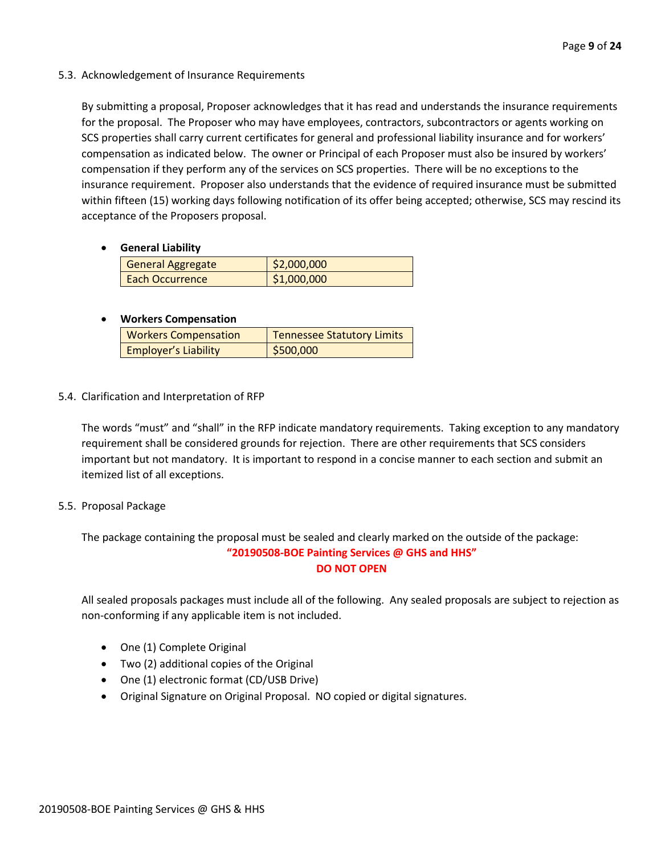5.3. Acknowledgement of Insurance Requirements

By submitting a proposal, Proposer acknowledges that it has read and understands the insurance requirements for the proposal. The Proposer who may have employees, contractors, subcontractors or agents working on SCS properties shall carry current certificates for general and professional liability insurance and for workers' compensation as indicated below. The owner or Principal of each Proposer must also be insured by workers' compensation if they perform any of the services on SCS properties. There will be no exceptions to the insurance requirement. Proposer also understands that the evidence of required insurance must be submitted within fifteen (15) working days following notification of its offer being accepted; otherwise, SCS may rescind its acceptance of the Proposers proposal.

• **General Liability**

| <b>General Aggregate</b> | \$2,000,000 |
|--------------------------|-------------|
| Each Occurrence          | \$1,000,000 |

## • **Workers Compensation**

| <b>Workers Compensation</b> | <b>Tennessee Statutory Limits</b> |
|-----------------------------|-----------------------------------|
| <b>Employer's Liability</b> | \$500,000                         |

5.4. Clarification and Interpretation of RFP

The words "must" and "shall" in the RFP indicate mandatory requirements. Taking exception to any mandatory requirement shall be considered grounds for rejection. There are other requirements that SCS considers important but not mandatory. It is important to respond in a concise manner to each section and submit an itemized list of all exceptions.

# 5.5. Proposal Package

The package containing the proposal must be sealed and clearly marked on the outside of the package: **"20190508-BOE Painting Services @ GHS and HHS" DO NOT OPEN**

All sealed proposals packages must include all of the following. Any sealed proposals are subject to rejection as non-conforming if any applicable item is not included.

- One (1) Complete Original
- Two (2) additional copies of the Original
- One (1) electronic format (CD/USB Drive)
- Original Signature on Original Proposal. NO copied or digital signatures.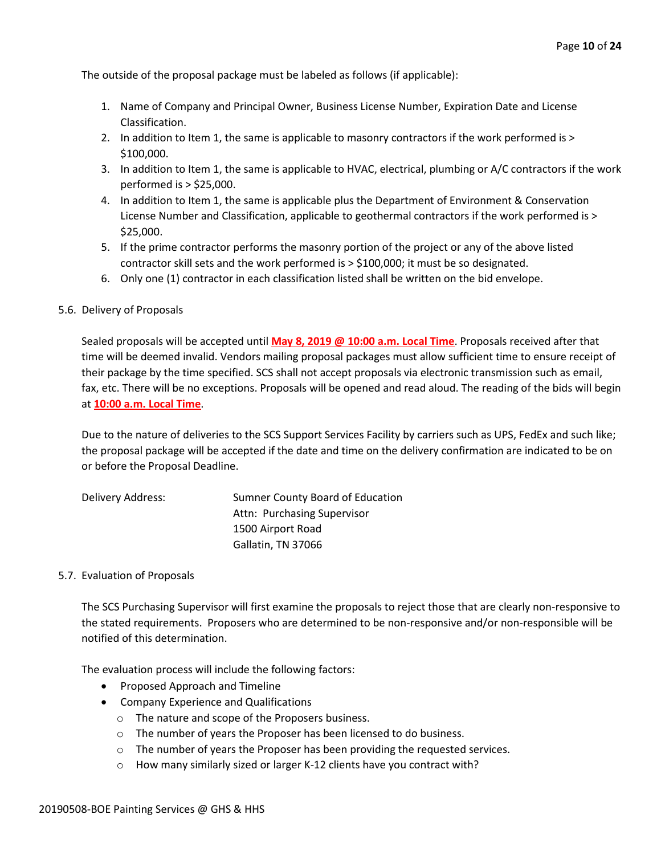The outside of the proposal package must be labeled as follows (if applicable):

- 1. Name of Company and Principal Owner, Business License Number, Expiration Date and License Classification.
- 2. In addition to Item 1, the same is applicable to masonry contractors if the work performed is > \$100,000.
- 3. In addition to Item 1, the same is applicable to HVAC, electrical, plumbing or A/C contractors if the work performed is > \$25,000.
- 4. In addition to Item 1, the same is applicable plus the Department of Environment & Conservation License Number and Classification, applicable to geothermal contractors if the work performed is > \$25,000.
- 5. If the prime contractor performs the masonry portion of the project or any of the above listed contractor skill sets and the work performed is > \$100,000; it must be so designated.
- 6. Only one (1) contractor in each classification listed shall be written on the bid envelope.

#### 5.6. Delivery of Proposals

Sealed proposals will be accepted until **May 8, 2019 @ 10:00 a.m. Local Time**. Proposals received after that time will be deemed invalid. Vendors mailing proposal packages must allow sufficient time to ensure receipt of their package by the time specified. SCS shall not accept proposals via electronic transmission such as email, fax, etc. There will be no exceptions. Proposals will be opened and read aloud. The reading of the bids will begin at **10:00 a.m. Local Time**.

Due to the nature of deliveries to the SCS Support Services Facility by carriers such as UPS, FedEx and such like; the proposal package will be accepted if the date and time on the delivery confirmation are indicated to be on or before the Proposal Deadline.

| Delivery Address: | Sumner County Board of Education |
|-------------------|----------------------------------|
|                   | Attn: Purchasing Supervisor      |
|                   | 1500 Airport Road                |
|                   | Gallatin, TN 37066               |

#### 5.7. Evaluation of Proposals

The SCS Purchasing Supervisor will first examine the proposals to reject those that are clearly non-responsive to the stated requirements. Proposers who are determined to be non-responsive and/or non-responsible will be notified of this determination.

The evaluation process will include the following factors:

- Proposed Approach and Timeline
- Company Experience and Qualifications
	- o The nature and scope of the Proposers business.
	- o The number of years the Proposer has been licensed to do business.
	- $\circ$  The number of years the Proposer has been providing the requested services.
	- o How many similarly sized or larger K-12 clients have you contract with?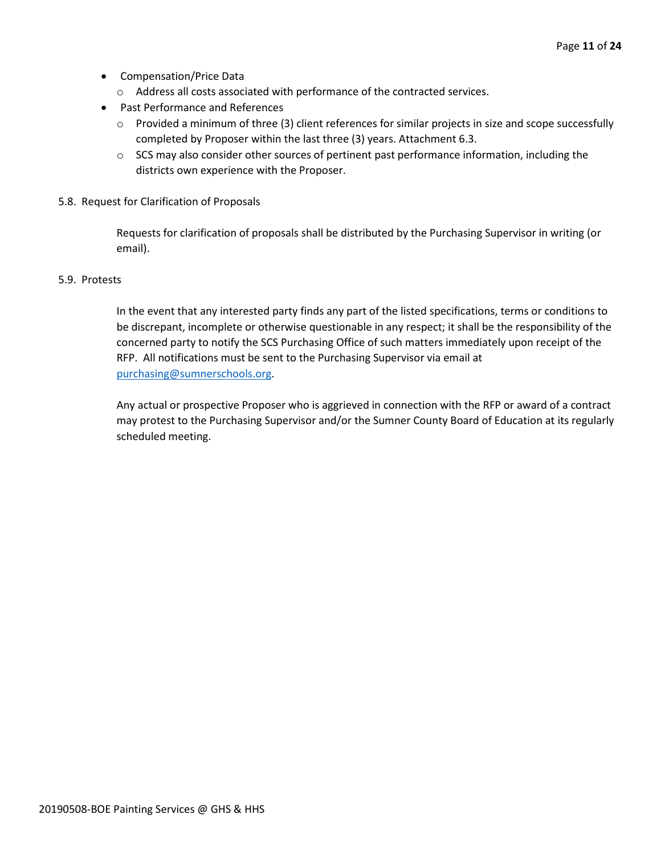- Compensation/Price Data
	- o Address all costs associated with performance of the contracted services.
- Past Performance and References
	- o Provided a minimum of three (3) client references for similar projects in size and scope successfully completed by Proposer within the last three (3) years. Attachment 6.3.
	- $\circ$  SCS may also consider other sources of pertinent past performance information, including the districts own experience with the Proposer.
- 5.8. Request for Clarification of Proposals

Requests for clarification of proposals shall be distributed by the Purchasing Supervisor in writing (or email).

#### 5.9. Protests

In the event that any interested party finds any part of the listed specifications, terms or conditions to be discrepant, incomplete or otherwise questionable in any respect; it shall be the responsibility of the concerned party to notify the SCS Purchasing Office of such matters immediately upon receipt of the RFP. All notifications must be sent to the Purchasing Supervisor via email at [purchasing@sumnerschools.org.](mailto:purchasing@sumnerschools.org)

Any actual or prospective Proposer who is aggrieved in connection with the RFP or award of a contract may protest to the Purchasing Supervisor and/or the Sumner County Board of Education at its regularly scheduled meeting.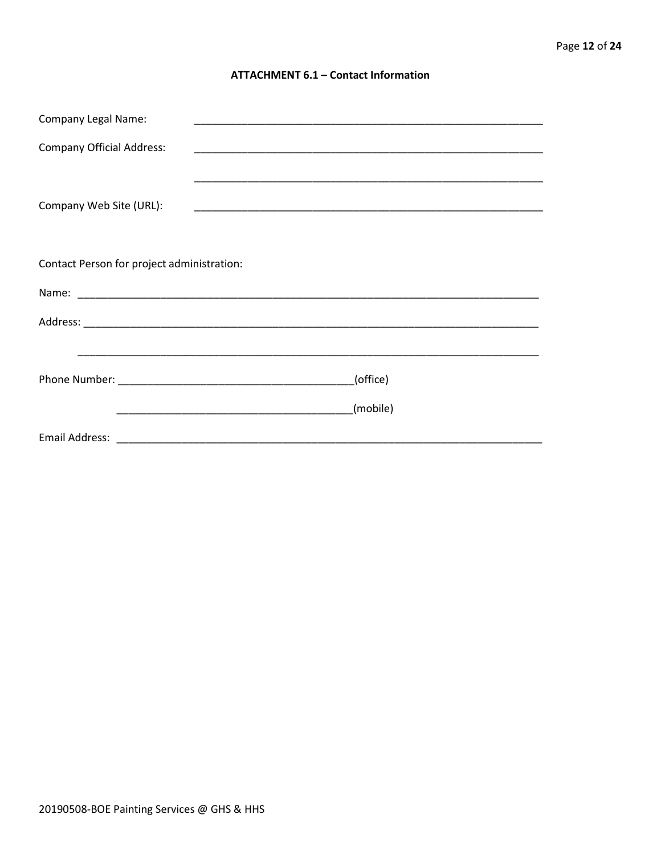#### **ATTACHMENT 6.1 - Contact Information**

| <b>Company Legal Name:</b>                 |          |  |  |
|--------------------------------------------|----------|--|--|
| <b>Company Official Address:</b>           |          |  |  |
|                                            |          |  |  |
| Company Web Site (URL):                    |          |  |  |
|                                            |          |  |  |
| Contact Person for project administration: |          |  |  |
|                                            |          |  |  |
|                                            |          |  |  |
|                                            |          |  |  |
|                                            | (office) |  |  |
|                                            | (mobile) |  |  |
|                                            |          |  |  |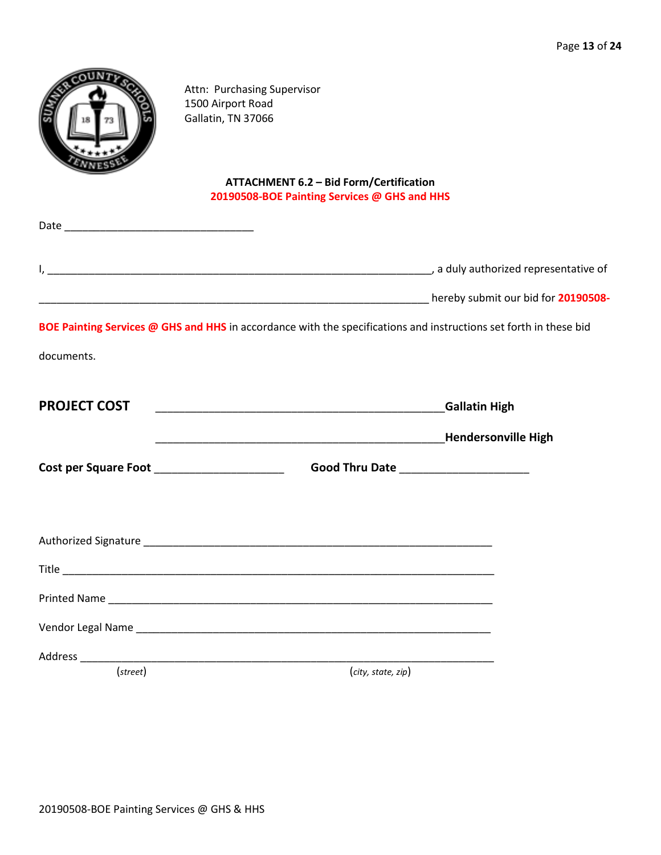|                     | Attn: Purchasing Supervisor<br>1500 Airport Road<br>Gallatin, TN 37066                                            |  |
|---------------------|-------------------------------------------------------------------------------------------------------------------|--|
|                     | <b>ATTACHMENT 6.2 - Bid Form/Certification</b><br>20190508-BOE Painting Services @ GHS and HHS                    |  |
|                     |                                                                                                                   |  |
|                     |                                                                                                                   |  |
|                     |                                                                                                                   |  |
|                     | BOE Painting Services @ GHS and HHS in accordance with the specifications and instructions set forth in these bid |  |
| documents.          |                                                                                                                   |  |
| <b>PROJECT COST</b> |                                                                                                                   |  |
|                     |                                                                                                                   |  |
|                     |                                                                                                                   |  |
|                     | Cost per Square Foot _______________________<br>Good Thru Date ______________________                             |  |
|                     |                                                                                                                   |  |
|                     |                                                                                                                   |  |
|                     |                                                                                                                   |  |
|                     |                                                                                                                   |  |
|                     |                                                                                                                   |  |
| $(\text{street})$   | (city, state, zip)                                                                                                |  |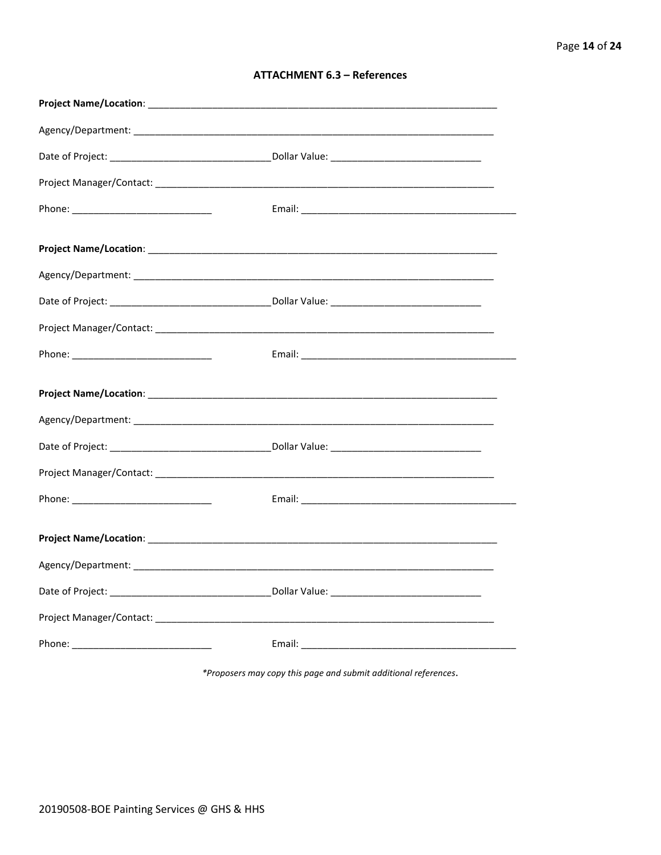| <b>ATTACHMENT 6.3 - References</b> |  |  |
|------------------------------------|--|--|
|------------------------------------|--|--|

\*Proposers may copy this page and submit additional references.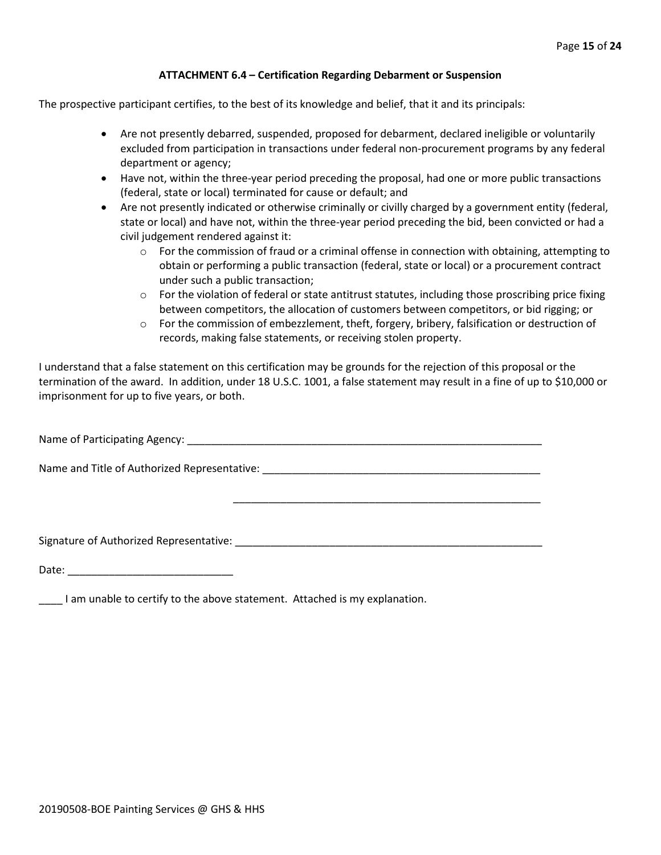#### **ATTACHMENT 6.4 – Certification Regarding Debarment or Suspension**

The prospective participant certifies, to the best of its knowledge and belief, that it and its principals:

- Are not presently debarred, suspended, proposed for debarment, declared ineligible or voluntarily excluded from participation in transactions under federal non-procurement programs by any federal department or agency;
- Have not, within the three-year period preceding the proposal, had one or more public transactions (federal, state or local) terminated for cause or default; and
- Are not presently indicated or otherwise criminally or civilly charged by a government entity (federal, state or local) and have not, within the three-year period preceding the bid, been convicted or had a civil judgement rendered against it:
	- $\circ$  For the commission of fraud or a criminal offense in connection with obtaining, attempting to obtain or performing a public transaction (federal, state or local) or a procurement contract under such a public transaction;
	- $\circ$  For the violation of federal or state antitrust statutes, including those proscribing price fixing between competitors, the allocation of customers between competitors, or bid rigging; or
	- $\circ$  For the commission of embezzlement, theft, forgery, bribery, falsification or destruction of records, making false statements, or receiving stolen property.

\_\_\_\_\_\_\_\_\_\_\_\_\_\_\_\_\_\_\_\_\_\_\_\_\_\_\_\_\_\_\_\_\_\_\_\_\_\_\_\_\_\_\_\_\_\_\_\_\_\_\_\_

I understand that a false statement on this certification may be grounds for the rejection of this proposal or the termination of the award. In addition, under 18 U.S.C. 1001, a false statement may result in a fine of up to \$10,000 or imprisonment for up to five years, or both.

Name of Participating Agency: \_\_\_\_\_\_\_\_\_\_\_\_\_\_\_\_\_\_\_\_\_\_\_\_\_\_\_\_\_\_\_\_\_\_\_\_\_\_\_\_\_\_\_\_\_\_\_\_\_\_\_\_\_\_\_\_\_\_\_\_

Name and Title of Authorized Representative: \_\_\_\_\_\_\_\_\_\_\_\_\_\_\_\_\_\_\_\_\_\_\_\_\_\_\_\_\_\_\_\_\_\_\_\_\_\_\_\_\_\_\_\_\_\_\_

Signature of Authorized Representative: \_\_\_\_\_\_\_\_\_\_\_\_\_\_\_\_\_\_\_\_\_\_\_\_\_\_\_\_\_\_\_\_\_\_\_\_\_\_\_\_\_\_\_\_\_\_\_\_\_\_\_\_

Date: \_\_\_\_\_\_\_\_\_\_\_\_\_\_\_\_\_\_\_\_\_\_\_\_\_\_\_\_

\_\_\_\_ I am unable to certify to the above statement. Attached is my explanation.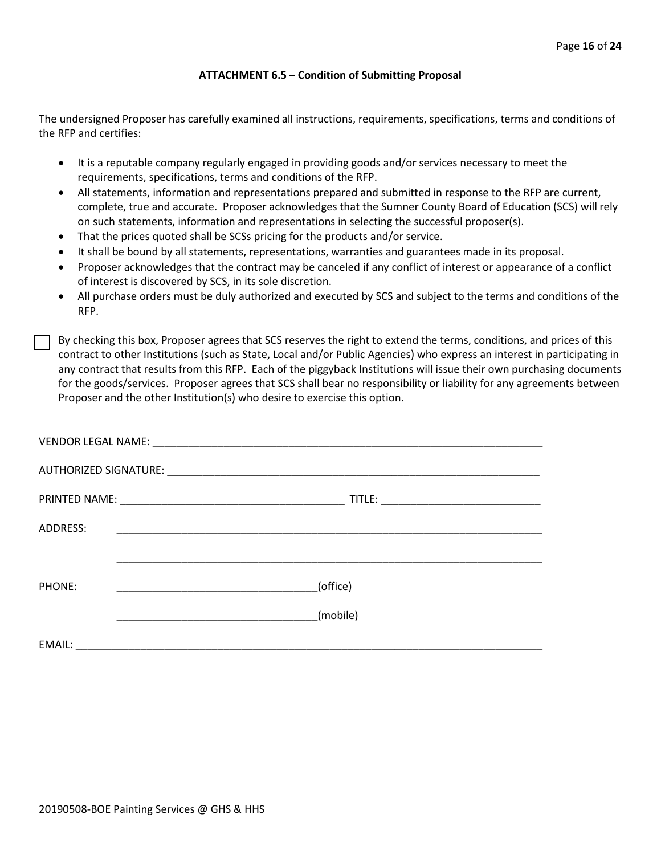#### **ATTACHMENT 6.5 – Condition of Submitting Proposal**

The undersigned Proposer has carefully examined all instructions, requirements, specifications, terms and conditions of the RFP and certifies:

- It is a reputable company regularly engaged in providing goods and/or services necessary to meet the requirements, specifications, terms and conditions of the RFP.
- All statements, information and representations prepared and submitted in response to the RFP are current, complete, true and accurate. Proposer acknowledges that the Sumner County Board of Education (SCS) will rely on such statements, information and representations in selecting the successful proposer(s).
- That the prices quoted shall be SCSs pricing for the products and/or service.
- It shall be bound by all statements, representations, warranties and guarantees made in its proposal.
- Proposer acknowledges that the contract may be canceled if any conflict of interest or appearance of a conflict of interest is discovered by SCS, in its sole discretion.
- All purchase orders must be duly authorized and executed by SCS and subject to the terms and conditions of the RFP.

By checking this box, Proposer agrees that SCS reserves the right to extend the terms, conditions, and prices of this contract to other Institutions (such as State, Local and/or Public Agencies) who express an interest in participating in any contract that results from this RFP. Each of the piggyback Institutions will issue their own purchasing documents for the goods/services. Proposer agrees that SCS shall bear no responsibility or liability for any agreements between Proposer and the other Institution(s) who desire to exercise this option.

| ADDRESS: |                                                                                                                                   |
|----------|-----------------------------------------------------------------------------------------------------------------------------------|
|          |                                                                                                                                   |
| PHONE:   | (office)<br><u> 1990 - Johann Barbara, martin amerikan basar dan bagi dan bagi dalam bagi dalam bagi dalam bagi dalam bagi da</u> |
|          | (mobile)                                                                                                                          |
| EMAIL:   | <u> 1980 - John Stein, mars and der Stein and der Stein and der Stein and der Stein and der Stein and der Stein a</u>             |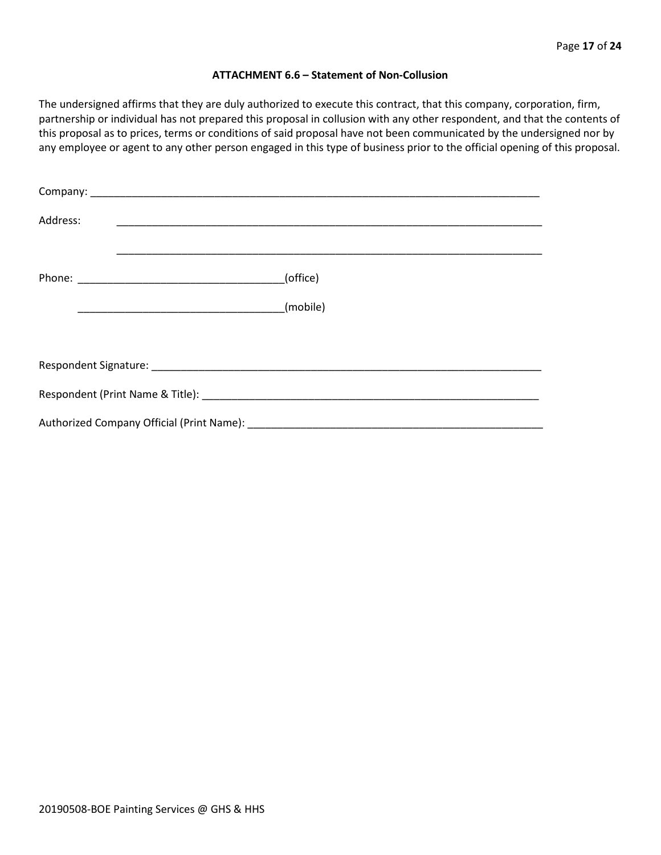#### **ATTACHMENT 6.6 – Statement of Non-Collusion**

The undersigned affirms that they are duly authorized to execute this contract, that this company, corporation, firm, partnership or individual has not prepared this proposal in collusion with any other respondent, and that the contents of this proposal as to prices, terms or conditions of said proposal have not been communicated by the undersigned nor by any employee or agent to any other person engaged in this type of business prior to the official opening of this proposal.

| Address: |          |
|----------|----------|
|          | (office) |
|          | (mobile) |
|          |          |
|          |          |
|          |          |
|          |          |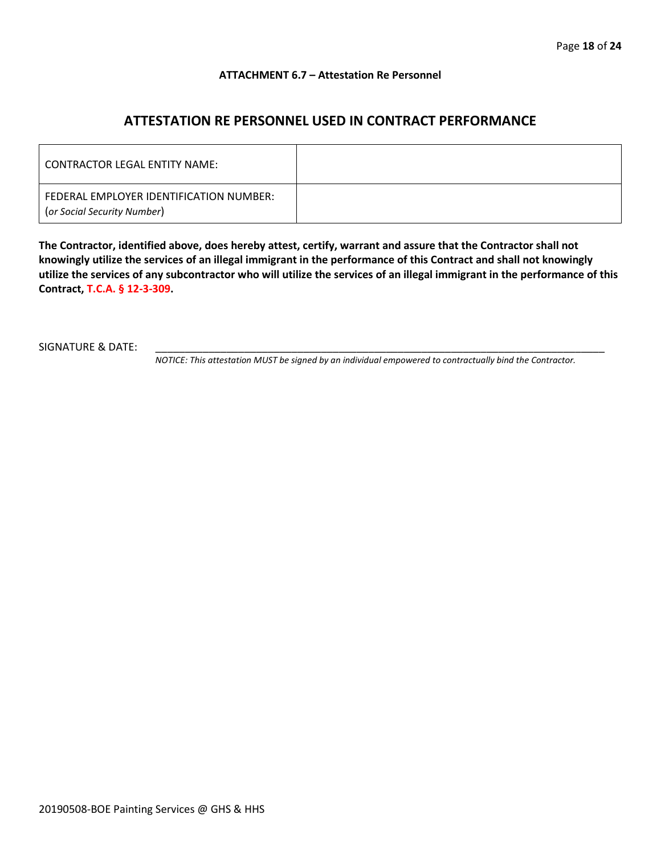#### **ATTACHMENT 6.7 – Attestation Re Personnel**

# **ATTESTATION RE PERSONNEL USED IN CONTRACT PERFORMANCE**

| CONTRACTOR LEGAL ENTITY NAME:                                          |  |
|------------------------------------------------------------------------|--|
| FEDERAL EMPLOYER IDENTIFICATION NUMBER:<br>(or Social Security Number) |  |

**The Contractor, identified above, does hereby attest, certify, warrant and assure that the Contractor shall not knowingly utilize the services of an illegal immigrant in the performance of this Contract and shall not knowingly utilize the services of any subcontractor who will utilize the services of an illegal immigrant in the performance of this Contract, T.C.A. § 12-3-309.**

SIGNATURE & DATE:

*NOTICE: This attestation MUST be signed by an individual empowered to contractually bind the Contractor.*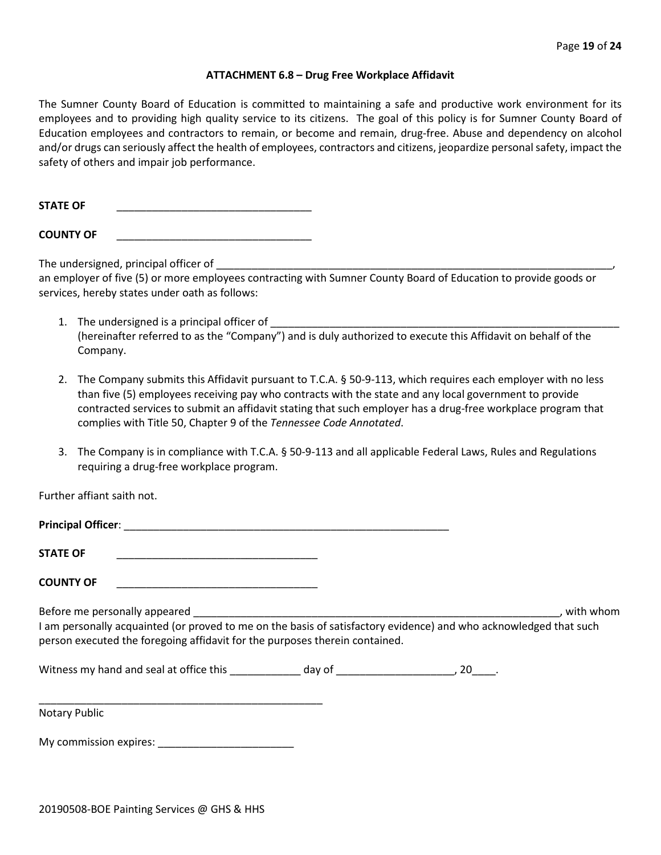#### **ATTACHMENT 6.8 – Drug Free Workplace Affidavit**

The Sumner County Board of Education is committed to maintaining a safe and productive work environment for its employees and to providing high quality service to its citizens. The goal of this policy is for Sumner County Board of Education employees and contractors to remain, or become and remain, drug-free. Abuse and dependency on alcohol and/or drugs can seriously affect the health of employees, contractors and citizens, jeopardize personal safety, impact the safety of others and impair job performance.

STATE OF

**COUNTY OF** \_\_\_\_\_\_\_\_\_\_\_\_\_\_\_\_\_\_\_\_\_\_\_\_\_\_\_\_\_\_\_\_\_

The undersigned, principal officer of

an employer of five (5) or more employees contracting with Sumner County Board of Education to provide goods or services, hereby states under oath as follows:

- 1. The undersigned is a principal officer of (hereinafter referred to as the "Company") and is duly authorized to execute this Affidavit on behalf of the Company.
- 2. The Company submits this Affidavit pursuant to T.C.A. § 50-9-113, which requires each employer with no less than five (5) employees receiving pay who contracts with the state and any local government to provide contracted services to submit an affidavit stating that such employer has a drug-free workplace program that complies with Title 50, Chapter 9 of the *Tennessee Code Annotated*.
- 3. The Company is in compliance with T.C.A. § 50-9-113 and all applicable Federal Laws, Rules and Regulations requiring a drug-free workplace program.

Further affiant saith not.

| <b>Principal Officer:</b>     |           |
|-------------------------------|-----------|
| <b>STATE OF</b>               |           |
| <b>COUNTY OF</b>              |           |
| Before me personally appeared | with whom |

I am personally acquainted (or proved to me on the basis of satisfactory evidence) and who acknowledged that such person executed the foregoing affidavit for the purposes therein contained.

Witness my hand and seal at office this \_\_\_\_\_\_\_\_\_\_\_\_\_ day of \_\_\_\_\_\_\_\_\_\_\_\_\_\_\_\_\_\_\_\_\_\_\_, 20\_\_\_\_\_.

Notary Public

My commission expires: \_\_\_\_\_\_\_\_\_\_\_\_\_\_\_\_\_\_\_\_\_\_\_

\_\_\_\_\_\_\_\_\_\_\_\_\_\_\_\_\_\_\_\_\_\_\_\_\_\_\_\_\_\_\_\_\_\_\_\_\_\_\_\_\_\_\_\_\_\_\_\_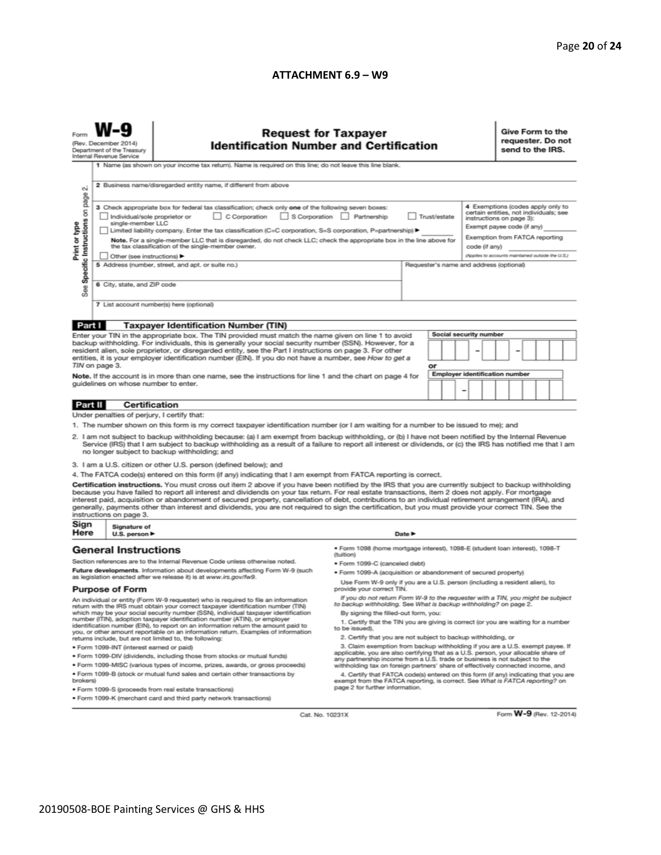#### **ATTACHMENT 6.9 – W9**

| N                                                                                                                                                                                                                                                                                                                                                                                                                                                                                                                                                                                                                                                                                                                                                                                                                                                                                                                                                                                                                                                                                                                                                                                                                                                                                                                                                              | <b>Request for Taxpayer</b><br>(Rev. December 2014)<br><b>Identification Number and Certification</b><br>Department of the Treasury<br>Internal Revenue Service<br>1 Name (as shown on your income tax return). Name is required on this line; do not leave this line blank.<br>2 Business name/disregarded entity name, if different from above                                                                      |                                                                                                                                                                                                                                                                                                                                                                                                                                                                                                                                                                                                                                                                                                                                                                                                                                                                                                                              |                                                                                                       |  |  |  |  |  | Give Form to the<br>requester. Do not<br>send to the IRS.                                                                                                                                                                    |  |  |  |  |
|----------------------------------------------------------------------------------------------------------------------------------------------------------------------------------------------------------------------------------------------------------------------------------------------------------------------------------------------------------------------------------------------------------------------------------------------------------------------------------------------------------------------------------------------------------------------------------------------------------------------------------------------------------------------------------------------------------------------------------------------------------------------------------------------------------------------------------------------------------------------------------------------------------------------------------------------------------------------------------------------------------------------------------------------------------------------------------------------------------------------------------------------------------------------------------------------------------------------------------------------------------------------------------------------------------------------------------------------------------------|-----------------------------------------------------------------------------------------------------------------------------------------------------------------------------------------------------------------------------------------------------------------------------------------------------------------------------------------------------------------------------------------------------------------------|------------------------------------------------------------------------------------------------------------------------------------------------------------------------------------------------------------------------------------------------------------------------------------------------------------------------------------------------------------------------------------------------------------------------------------------------------------------------------------------------------------------------------------------------------------------------------------------------------------------------------------------------------------------------------------------------------------------------------------------------------------------------------------------------------------------------------------------------------------------------------------------------------------------------------|-------------------------------------------------------------------------------------------------------|--|--|--|--|--|------------------------------------------------------------------------------------------------------------------------------------------------------------------------------------------------------------------------------|--|--|--|--|
| Specific Instructions on page<br>Print or type<br>See                                                                                                                                                                                                                                                                                                                                                                                                                                                                                                                                                                                                                                                                                                                                                                                                                                                                                                                                                                                                                                                                                                                                                                                                                                                                                                          | Individual/sole proprietor or<br>single-member LLC<br>Other (see instructions) ▶<br>6 City, state, and ZIP code                                                                                                                                                                                                                                                                                                       | 3 Check appropriate box for federal tax classification; check only one of the following seven boxes:<br>C Corporation<br>Limited liability company. Enter the tax classification (C=C corporation, S=S corporation, P=partnership) ▶<br>Note. For a single-member LLC that is disregarded, do not check LLC; check the appropriate box in the line above for<br>the tax classification of the single-member owner.<br>5 Address (number, street, and apt. or suite no.)<br>7 List account number(s) here (optional)                                                                                                                                                                                                                                                                                                                                                                                                          | S Corporation Partnership<br>Trust/estate<br>code (if any)<br>Requester's name and address (optional) |  |  |  |  |  | 4 Exemptions (codes apply only to<br>certain entities, not individuals; see<br>instructions on page 3):<br>Exempt payee code (if any)<br>Exemption from FATCA reporting<br>(Applies to accounts maintained outside the U.S.) |  |  |  |  |
|                                                                                                                                                                                                                                                                                                                                                                                                                                                                                                                                                                                                                                                                                                                                                                                                                                                                                                                                                                                                                                                                                                                                                                                                                                                                                                                                                                |                                                                                                                                                                                                                                                                                                                                                                                                                       |                                                                                                                                                                                                                                                                                                                                                                                                                                                                                                                                                                                                                                                                                                                                                                                                                                                                                                                              |                                                                                                       |  |  |  |  |  |                                                                                                                                                                                                                              |  |  |  |  |
| Part I<br><b>Taxpayer Identification Number (TIN)</b><br>Social security number<br>Enter your TIN in the appropriate box. The TIN provided must match the name given on line 1 to avoid<br>backup withholding. For individuals, this is generally your social security number (SSN). However, for a<br>resident alien, sole proprietor, or disregarded entity, see the Part I instructions on page 3. For other<br>-<br>entities, it is your employer identification number (EIN). If you do not have a number, see How to get a<br>TIN on page 3.<br>or<br><b>Employer identification number</b><br>Note. If the account is in more than one name, see the instructions for line 1 and the chart on page 4 for<br>guidelines on whose number to enter.<br>-                                                                                                                                                                                                                                                                                                                                                                                                                                                                                                                                                                                                   |                                                                                                                                                                                                                                                                                                                                                                                                                       |                                                                                                                                                                                                                                                                                                                                                                                                                                                                                                                                                                                                                                                                                                                                                                                                                                                                                                                              |                                                                                                       |  |  |  |  |  |                                                                                                                                                                                                                              |  |  |  |  |
| Part II                                                                                                                                                                                                                                                                                                                                                                                                                                                                                                                                                                                                                                                                                                                                                                                                                                                                                                                                                                                                                                                                                                                                                                                                                                                                                                                                                        | <b>Certification</b>                                                                                                                                                                                                                                                                                                                                                                                                  |                                                                                                                                                                                                                                                                                                                                                                                                                                                                                                                                                                                                                                                                                                                                                                                                                                                                                                                              |                                                                                                       |  |  |  |  |  |                                                                                                                                                                                                                              |  |  |  |  |
|                                                                                                                                                                                                                                                                                                                                                                                                                                                                                                                                                                                                                                                                                                                                                                                                                                                                                                                                                                                                                                                                                                                                                                                                                                                                                                                                                                | Under penalties of perjury, I certify that:                                                                                                                                                                                                                                                                                                                                                                           |                                                                                                                                                                                                                                                                                                                                                                                                                                                                                                                                                                                                                                                                                                                                                                                                                                                                                                                              |                                                                                                       |  |  |  |  |  |                                                                                                                                                                                                                              |  |  |  |  |
| 1. The number shown on this form is my correct taxpayer identification number (or I am waiting for a number to be issued to me); and<br>2. I am not subject to backup withholding because: (a) I am exempt from backup withholding, or (b) I have not been notified by the Internal Revenue<br>Service (IRS) that I am subject to backup withholding as a result of a failure to report all interest or dividends, or (c) the IRS has notified me that I am<br>no longer subject to backup withholding; and<br>3. I am a U.S. citizen or other U.S. person (defined below); and<br>4. The FATCA code(s) entered on this form (if any) indicating that I am exempt from FATCA reporting is correct.<br>Certification instructions. You must cross out item 2 above if you have been notified by the IRS that you are currently subject to backup withholding<br>because you have failed to report all interest and dividends on your tax return. For real estate transactions, item 2 does not apply. For mortgage<br>interest paid, acquisition or abandonment of secured property, cancellation of debt, contributions to an individual retirement arrangement (IRA), and<br>generally, payments other than interest and dividends, you are not required to sign the certification, but you must provide your correct TIN. See the<br>instructions on page 3. |                                                                                                                                                                                                                                                                                                                                                                                                                       |                                                                                                                                                                                                                                                                                                                                                                                                                                                                                                                                                                                                                                                                                                                                                                                                                                                                                                                              |                                                                                                       |  |  |  |  |  |                                                                                                                                                                                                                              |  |  |  |  |
| Sign                                                                                                                                                                                                                                                                                                                                                                                                                                                                                                                                                                                                                                                                                                                                                                                                                                                                                                                                                                                                                                                                                                                                                                                                                                                                                                                                                           | Signature of                                                                                                                                                                                                                                                                                                                                                                                                          |                                                                                                                                                                                                                                                                                                                                                                                                                                                                                                                                                                                                                                                                                                                                                                                                                                                                                                                              |                                                                                                       |  |  |  |  |  |                                                                                                                                                                                                                              |  |  |  |  |
| Here                                                                                                                                                                                                                                                                                                                                                                                                                                                                                                                                                                                                                                                                                                                                                                                                                                                                                                                                                                                                                                                                                                                                                                                                                                                                                                                                                           | Date $\blacktriangleright$<br>U.S. person ▶<br>· Form 1098 (home mortgage interest), 1098-E (student loan interest), 1098-T<br><b>General Instructions</b><br>(tuition)                                                                                                                                                                                                                                               |                                                                                                                                                                                                                                                                                                                                                                                                                                                                                                                                                                                                                                                                                                                                                                                                                                                                                                                              |                                                                                                       |  |  |  |  |  |                                                                                                                                                                                                                              |  |  |  |  |
| Section references are to the Internal Revenue Code unless otherwise noted.<br>Future developments. Information about developments affecting Form W-9 (such<br>as legislation enacted after we release it) is at www.irs.gov/fw9.<br><b>Purpose of Form</b><br>An individual or entity (Form W-9 requester) who is required to file an information<br>return with the IRS must obtain your correct taxpayer identification number (TIN)<br>which may be your social security number (SSN), individual taxpayer identification<br>number (ITIN), adoption taxpayer identification number (ATIN), or employer<br>identification number (EIN), to report on an information return the amount paid to<br>you, or other amount reportable on an information return. Examples of information<br>returns include, but are not limited to, the following:<br>· Form 1099-INT (interest earned or paid)<br>. Form 1099-DIV (dividends, including those from stocks or mutual funds)<br>* Form 1099-MISC (various types of income, prizes, awards, or gross proceeds)                                                                                                                                                                                                                                                                                                    |                                                                                                                                                                                                                                                                                                                                                                                                                       | · Form 1099-C (canceled debt)<br>. Form 1099-A (acquisition or abandonment of secured property)<br>Use Form W-9 only if you are a U.S. person (including a resident alien), to<br>provide your correct TIN.<br>If you do not return Form W-9 to the requester with a TIN, you might be subject<br>to backup withholding. See What is backup withholding? on page 2.<br>By signing the filled-out form, you:<br>1. Certify that the TIN you are giving is correct (or you are waiting for a number<br>to be issued).<br>2. Certify that you are not subject to backup withholding, or<br>3. Claim exemption from backup withholding if you are a U.S. exempt payee. If<br>applicable, you are also certifying that as a U.S. person, your allocable share of<br>any partnership income from a U.S. trade or business is not subject to the<br>withholding tax on foreign partners' share of effectively connected income, and |                                                                                                       |  |  |  |  |  |                                                                                                                                                                                                                              |  |  |  |  |
| brokers)                                                                                                                                                                                                                                                                                                                                                                                                                                                                                                                                                                                                                                                                                                                                                                                                                                                                                                                                                                                                                                                                                                                                                                                                                                                                                                                                                       | . Form 1099-B (stock or mutual fund sales and certain other transactions by<br>4. Certify that FATCA code(s) entered on this form (if any) indicating that you are<br>exempt from the FATCA reporting, is correct. See What is FATCA reporting? on<br>page 2 for further information.<br>· Form 1099-S (proceeds from real estate transactions)<br>. Form 1099-K (merchant card and third party network transactions) |                                                                                                                                                                                                                                                                                                                                                                                                                                                                                                                                                                                                                                                                                                                                                                                                                                                                                                                              |                                                                                                       |  |  |  |  |  |                                                                                                                                                                                                                              |  |  |  |  |

Cat. No. 10231X

Form **W-9** (Rev. 12-2014)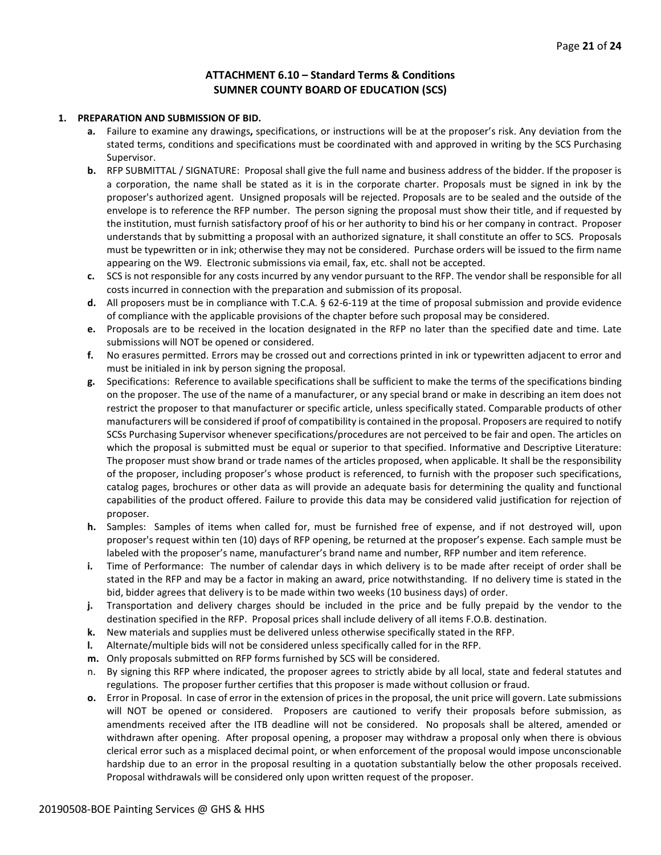#### **ATTACHMENT 6.10 – Standard Terms & Conditions SUMNER COUNTY BOARD OF EDUCATION (SCS)**

#### **1. PREPARATION AND SUBMISSION OF BID.**

- **a.** Failure to examine any drawings**,** specifications, or instructions will be at the proposer's risk. Any deviation from the stated terms, conditions and specifications must be coordinated with and approved in writing by the SCS Purchasing Supervisor.
- **b.** RFP SUBMITTAL / SIGNATURE: Proposal shall give the full name and business address of the bidder. If the proposer is a corporation, the name shall be stated as it is in the corporate charter. Proposals must be signed in ink by the proposer's authorized agent. Unsigned proposals will be rejected. Proposals are to be sealed and the outside of the envelope is to reference the RFP number. The person signing the proposal must show their title, and if requested by the institution, must furnish satisfactory proof of his or her authority to bind his or her company in contract. Proposer understands that by submitting a proposal with an authorized signature, it shall constitute an offer to SCS. Proposals must be typewritten or in ink; otherwise they may not be considered. Purchase orders will be issued to the firm name appearing on the W9. Electronic submissions via email, fax, etc. shall not be accepted.
- **c.** SCS is not responsible for any costs incurred by any vendor pursuant to the RFP. The vendor shall be responsible for all costs incurred in connection with the preparation and submission of its proposal.
- **d.** All proposers must be in compliance with T.C.A. § 62-6-119 at the time of proposal submission and provide evidence of compliance with the applicable provisions of the chapter before such proposal may be considered.
- **e.** Proposals are to be received in the location designated in the RFP no later than the specified date and time. Late submissions will NOT be opened or considered.
- **f.** No erasures permitted. Errors may be crossed out and corrections printed in ink or typewritten adjacent to error and must be initialed in ink by person signing the proposal.
- **g.** Specifications: Reference to available specifications shall be sufficient to make the terms of the specifications binding on the proposer. The use of the name of a manufacturer, or any special brand or make in describing an item does not restrict the proposer to that manufacturer or specific article, unless specifically stated. Comparable products of other manufacturers will be considered if proof of compatibility is contained in the proposal. Proposers are required to notify SCSs Purchasing Supervisor whenever specifications/procedures are not perceived to be fair and open. The articles on which the proposal is submitted must be equal or superior to that specified. Informative and Descriptive Literature: The proposer must show brand or trade names of the articles proposed, when applicable. It shall be the responsibility of the proposer, including proposer's whose product is referenced, to furnish with the proposer such specifications, catalog pages, brochures or other data as will provide an adequate basis for determining the quality and functional capabilities of the product offered. Failure to provide this data may be considered valid justification for rejection of proposer.
- **h.** Samples: Samples of items when called for, must be furnished free of expense, and if not destroyed will, upon proposer's request within ten (10) days of RFP opening, be returned at the proposer's expense. Each sample must be labeled with the proposer's name, manufacturer's brand name and number, RFP number and item reference.
- **i.** Time of Performance: The number of calendar days in which delivery is to be made after receipt of order shall be stated in the RFP and may be a factor in making an award, price notwithstanding. If no delivery time is stated in the bid, bidder agrees that delivery is to be made within two weeks (10 business days) of order.
- **j.** Transportation and delivery charges should be included in the price and be fully prepaid by the vendor to the destination specified in the RFP. Proposal prices shall include delivery of all items F.O.B. destination.
- **k.** New materials and supplies must be delivered unless otherwise specifically stated in the RFP.
- **l.** Alternate/multiple bids will not be considered unless specifically called for in the RFP.
- **m.** Only proposals submitted on RFP forms furnished by SCS will be considered.
- n. By signing this RFP where indicated, the proposer agrees to strictly abide by all local, state and federal statutes and regulations. The proposer further certifies that this proposer is made without collusion or fraud.
- **o.** Error in Proposal. In case of error in the extension of prices in the proposal, the unit price will govern. Late submissions will NOT be opened or considered. Proposers are cautioned to verify their proposals before submission, as amendments received after the ITB deadline will not be considered. No proposals shall be altered, amended or withdrawn after opening. After proposal opening, a proposer may withdraw a proposal only when there is obvious clerical error such as a misplaced decimal point, or when enforcement of the proposal would impose unconscionable hardship due to an error in the proposal resulting in a quotation substantially below the other proposals received. Proposal withdrawals will be considered only upon written request of the proposer.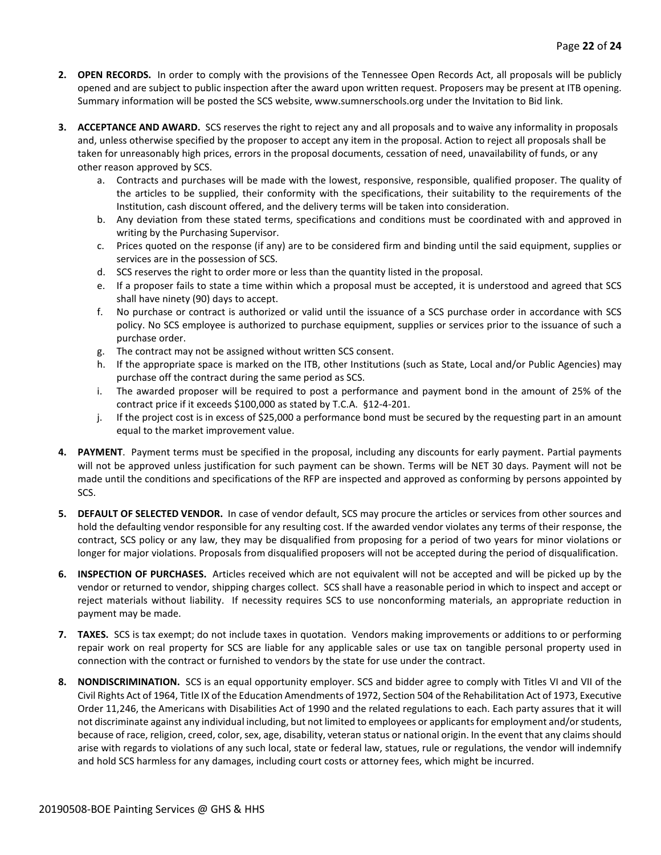- **2. OPEN RECORDS.** In order to comply with the provisions of the Tennessee Open Records Act, all proposals will be publicly opened and are subject to public inspection after the award upon written request. Proposers may be present at ITB opening. Summary information will be posted the SCS website, www.sumnerschools.org under the Invitation to Bid link.
- **3. ACCEPTANCE AND AWARD.** SCS reserves the right to reject any and all proposals and to waive any informality in proposals and, unless otherwise specified by the proposer to accept any item in the proposal. Action to reject all proposals shall be taken for unreasonably high prices, errors in the proposal documents, cessation of need, unavailability of funds, or any other reason approved by SCS.
	- a. Contracts and purchases will be made with the lowest, responsive, responsible, qualified proposer. The quality of the articles to be supplied, their conformity with the specifications, their suitability to the requirements of the Institution, cash discount offered, and the delivery terms will be taken into consideration.
	- b. Any deviation from these stated terms, specifications and conditions must be coordinated with and approved in writing by the Purchasing Supervisor.
	- c. Prices quoted on the response (if any) are to be considered firm and binding until the said equipment, supplies or services are in the possession of SCS.
	- d. SCS reserves the right to order more or less than the quantity listed in the proposal.
	- e. If a proposer fails to state a time within which a proposal must be accepted, it is understood and agreed that SCS shall have ninety (90) days to accept.
	- f. No purchase or contract is authorized or valid until the issuance of a SCS purchase order in accordance with SCS policy. No SCS employee is authorized to purchase equipment, supplies or services prior to the issuance of such a purchase order.
	- g. The contract may not be assigned without written SCS consent.
	- h. If the appropriate space is marked on the ITB, other Institutions (such as State, Local and/or Public Agencies) may purchase off the contract during the same period as SCS.
	- i. The awarded proposer will be required to post a performance and payment bond in the amount of 25% of the contract price if it exceeds \$100,000 as stated by T.C.A. §12-4-201.
	- j. If the project cost is in excess of \$25,000 a performance bond must be secured by the requesting part in an amount equal to the market improvement value.
- **4. PAYMENT**. Payment terms must be specified in the proposal, including any discounts for early payment. Partial payments will not be approved unless justification for such payment can be shown. Terms will be NET 30 days. Payment will not be made until the conditions and specifications of the RFP are inspected and approved as conforming by persons appointed by SCS.
- **5. DEFAULT OF SELECTED VENDOR.** In case of vendor default, SCS may procure the articles or services from other sources and hold the defaulting vendor responsible for any resulting cost. If the awarded vendor violates any terms of their response, the contract, SCS policy or any law, they may be disqualified from proposing for a period of two years for minor violations or longer for major violations. Proposals from disqualified proposers will not be accepted during the period of disqualification.
- **6. INSPECTION OF PURCHASES.** Articles received which are not equivalent will not be accepted and will be picked up by the vendor or returned to vendor, shipping charges collect. SCS shall have a reasonable period in which to inspect and accept or reject materials without liability. If necessity requires SCS to use nonconforming materials, an appropriate reduction in payment may be made.
- **7. TAXES.** SCS is tax exempt; do not include taxes in quotation. Vendors making improvements or additions to or performing repair work on real property for SCS are liable for any applicable sales or use tax on tangible personal property used in connection with the contract or furnished to vendors by the state for use under the contract.
- **8. NONDISCRIMINATION.** SCS is an equal opportunity employer. SCS and bidder agree to comply with Titles VI and VII of the Civil Rights Act of 1964, Title IX of the Education Amendments of 1972, Section 504 of the Rehabilitation Act of 1973, Executive Order 11,246, the Americans with Disabilities Act of 1990 and the related regulations to each. Each party assures that it will not discriminate against any individual including, but not limited to employees or applicants for employment and/or students, because of race, religion, creed, color, sex, age, disability, veteran status or national origin. In the event that any claims should arise with regards to violations of any such local, state or federal law, statues, rule or regulations, the vendor will indemnify and hold SCS harmless for any damages, including court costs or attorney fees, which might be incurred.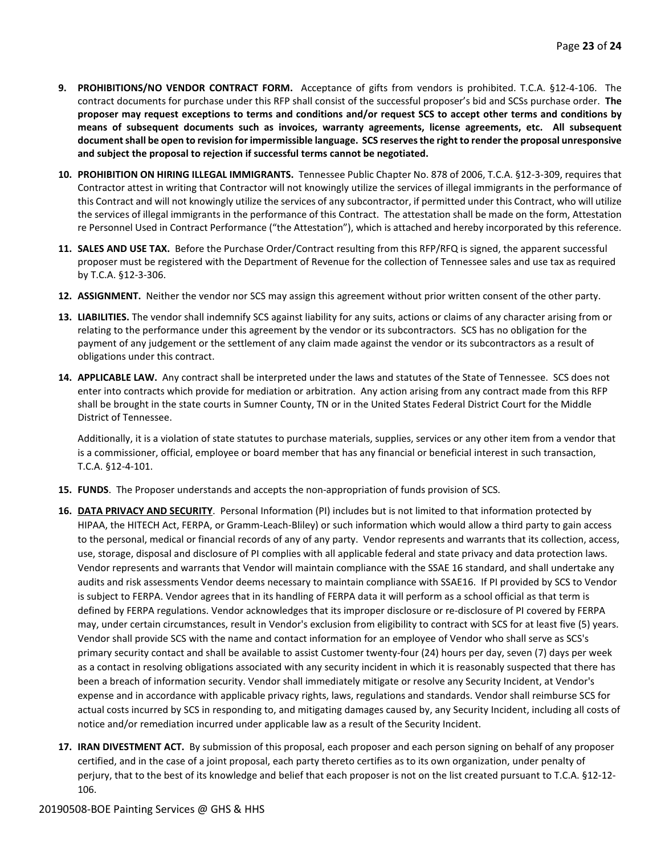- **9. PROHIBITIONS/NO VENDOR CONTRACT FORM.** Acceptance of gifts from vendors is prohibited. T.C.A. §12-4-106. The contract documents for purchase under this RFP shall consist of the successful proposer's bid and SCSs purchase order. **The proposer may request exceptions to terms and conditions and/or request SCS to accept other terms and conditions by means of subsequent documents such as invoices, warranty agreements, license agreements, etc. All subsequent document shall be open to revision for impermissible language. SCS reserves the right to render the proposal unresponsive and subject the proposal to rejection if successful terms cannot be negotiated.**
- **10. PROHIBITION ON HIRING ILLEGAL IMMIGRANTS.** Tennessee Public Chapter No. 878 of 2006, T.C.A. §12-3-309, requires that Contractor attest in writing that Contractor will not knowingly utilize the services of illegal immigrants in the performance of this Contract and will not knowingly utilize the services of any subcontractor, if permitted under this Contract, who will utilize the services of illegal immigrants in the performance of this Contract. The attestation shall be made on the form, Attestation re Personnel Used in Contract Performance ("the Attestation"), which is attached and hereby incorporated by this reference.
- **11. SALES AND USE TAX.** Before the Purchase Order/Contract resulting from this RFP/RFQ is signed, the apparent successful proposer must be registered with the Department of Revenue for the collection of Tennessee sales and use tax as required by T.C.A. §12-3-306.
- **12. ASSIGNMENT.** Neither the vendor nor SCS may assign this agreement without prior written consent of the other party.
- **13. LIABILITIES.** The vendor shall indemnify SCS against liability for any suits, actions or claims of any character arising from or relating to the performance under this agreement by the vendor or its subcontractors. SCS has no obligation for the payment of any judgement or the settlement of any claim made against the vendor or its subcontractors as a result of obligations under this contract.
- **14. APPLICABLE LAW.** Any contract shall be interpreted under the laws and statutes of the State of Tennessee. SCS does not enter into contracts which provide for mediation or arbitration. Any action arising from any contract made from this RFP shall be brought in the state courts in Sumner County, TN or in the United States Federal District Court for the Middle District of Tennessee.

Additionally, it is a violation of state statutes to purchase materials, supplies, services or any other item from a vendor that is a commissioner, official, employee or board member that has any financial or beneficial interest in such transaction, T.C.A. §12-4-101.

- **15. FUNDS**. The Proposer understands and accepts the non-appropriation of funds provision of SCS.
- **16. DATA PRIVACY AND SECURITY**. Personal Information (PI) includes but is not limited to that information protected by HIPAA, the HITECH Act, FERPA, or Gramm-Leach-Bliley) or such information which would allow a third party to gain access to the personal, medical or financial records of any of any party. Vendor represents and warrants that its collection, access, use, storage, disposal and disclosure of PI complies with all applicable federal and state privacy and data protection laws. Vendor represents and warrants that Vendor will maintain compliance with the SSAE 16 standard, and shall undertake any audits and risk assessments Vendor deems necessary to maintain compliance with SSAE16. If PI provided by SCS to Vendor is subject to FERPA. Vendor agrees that in its handling of FERPA data it will perform as a school official as that term is defined by FERPA regulations. Vendor acknowledges that its improper disclosure or re-disclosure of PI covered by FERPA may, under certain circumstances, result in Vendor's exclusion from eligibility to contract with SCS for at least five (5) years. Vendor shall provide SCS with the name and contact information for an employee of Vendor who shall serve as SCS's primary security contact and shall be available to assist Customer twenty-four (24) hours per day, seven (7) days per week as a contact in resolving obligations associated with any security incident in which it is reasonably suspected that there has been a breach of information security. Vendor shall immediately mitigate or resolve any Security Incident, at Vendor's expense and in accordance with applicable privacy rights, laws, regulations and standards. Vendor shall reimburse SCS for actual costs incurred by SCS in responding to, and mitigating damages caused by, any Security Incident, including all costs of notice and/or remediation incurred under applicable law as a result of the Security Incident.
- **17. IRAN DIVESTMENT ACT.** By submission of this proposal, each proposer and each person signing on behalf of any proposer certified, and in the case of a joint proposal, each party thereto certifies as to its own organization, under penalty of perjury, that to the best of its knowledge and belief that each proposer is not on the list created pursuant to T.C.A. §12-12- 106.

#### 20190508-BOE Painting Services @ GHS & HHS